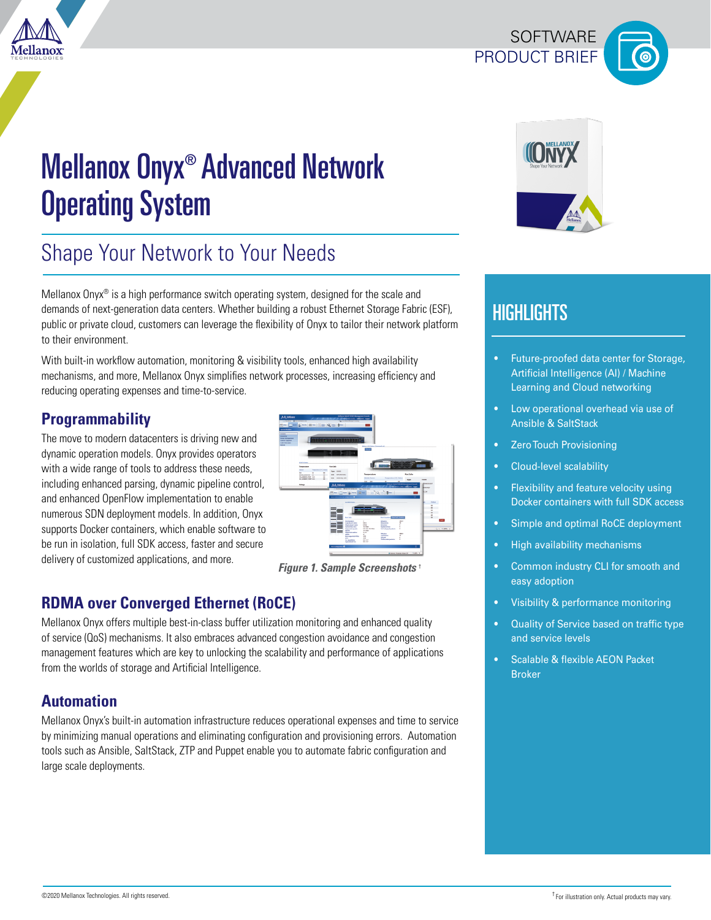

# Mellanox Onyx® Advanced Network Operating System

## Shape Your Network to Your Needs

Mellanox Onyx<sup>®</sup> is a high performance switch operating system, designed for the scale and demands of next-generation data centers. Whether building a robust Ethernet Storage Fabric (ESF), public or private cloud, customers can leverage the flexibility of Onyx to tailor their network platform to their environment.

With built-in workflow automation, monitoring & visibility tools, enhanced high availability mechanisms, and more, Mellanox Onyx simplifies network processes, increasing efficiency and reducing operating expenses and time-to-service.

## **Programmability**

The move to modern datacenters is driving new and dynamic operation models. Onyx provides operators with a wide range of tools to address these needs, including enhanced parsing, dynamic pipeline control, and enhanced OpenFlow implementation to enable numerous SDN deployment models. In addition, Onyx supports Docker containers, which enable software to be run in isolation, full SDK access, faster and secure delivery of customized applications, and more.



*Figure 1. Sample Screenshots* †

## **RDMA over Converged Ethernet (ROCE)**

Mellanox Onyx offers multiple best-in-class buffer utilization monitoring and enhanced quality of service (QoS) mechanisms. It also embraces advanced congestion avoidance and congestion management features which are key to unlocking the scalability and performance of applications from the worlds of storage and Artificial Intelligence.

### **Automation**

Mellanox Onyx's built-in automation infrastructure reduces operational expenses and time to service by minimizing manual operations and eliminating configuration and provisioning errors. Automation tools such as Ansible, SaltStack, ZTP and Puppet enable you to automate fabric configuration and large scale deployments.



PRODUCT BRIEF

SOFTWARE

## **HIGHLIGHTS**

- Future-proofed data center for Storage, Artificial Intelligence (AI) / Machine Learning and Cloud networking
- Low operational overhead via use of Ansible & SaltStack
- **Zero Touch Provisioning**
- Cloud-level scalability
- Flexibility and feature velocity using Docker containers with full SDK access
- Simple and optimal RoCE deployment
- High availability mechanisms
- Common industry CLI for smooth and easy adoption
- Visibility & performance monitoring
- Quality of Service based on traffic type and service levels
- Scalable & flexible AEON Packet Broker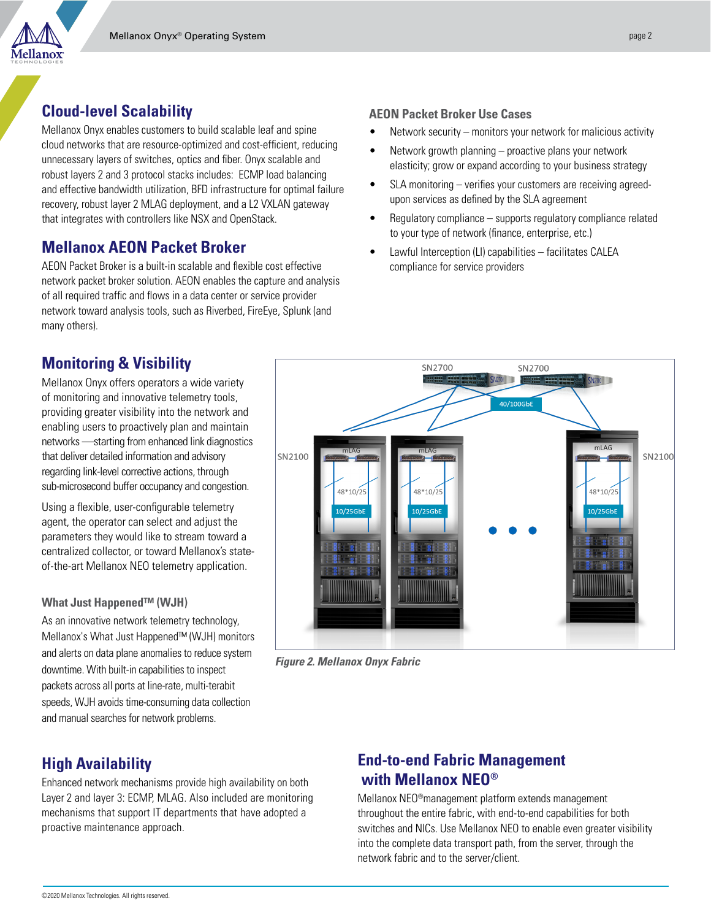## **Cloud-level Scalability**

Mellanox Onyx enables customers to build scalable leaf and spine cloud networks that are resource-optimized and cost-efficient, reducing unnecessary layers of switches, optics and fiber. Onyx scalable and robust layers 2 and 3 protocol stacks includes: ECMP load balancing and effective bandwidth utilization, BFD infrastructure for optimal failure recovery, robust layer 2 MLAG deployment, and a L2 VXLAN gateway that integrates with controllers like NSX and OpenStack.

## **Mellanox AEON Packet Broker**

AEON Packet Broker is a built-in scalable and flexible cost effective network packet broker solution. AEON enables the capture and analysis of all required traffic and flows in a data center or service provider network toward analysis tools, such as Riverbed, FireEye, Splunk (and many others).

## **Monitoring & Visibility**

Mellanox Onyx offers operators a wide variety of monitoring and innovative telemetry tools, providing greater visibility into the network and enabling users to proactively plan and maintain networks —starting from enhanced link diagnostics that deliver detailed information and advisory regarding link-level corrective actions, through sub-microsecond buffer occupancy and congestion.

Using a flexible, user-configurable telemetry agent, the operator can select and adjust the parameters they would like to stream toward a centralized collector, or toward Mellanox's stateof-the-art Mellanox NEO telemetry application.

#### **What Just Happened™ (WJH)**

As an innovative network telemetry technology, Mellanox's What Just Happened™ (WJH) monitors and alerts on data plane anomalies to reduce system downtime. With built-in capabilities to inspect packets across all ports at line-rate, multi-terabit speeds, WJH avoids time-consuming data collection and manual searches for network problems.

## **High Availability**

Enhanced network mechanisms provide high availability on both Layer 2 and layer 3: ECMP, MLAG. Also included are monitoring mechanisms that support IT departments that have adopted a proactive maintenance approach.

#### **AEON Packet Broker Use Cases**

- Network security monitors your network for malicious activity
- Network growth planning proactive plans your network elasticity; grow or expand according to your business strategy
- SLA monitoring verifies your customers are receiving agreedupon services as defined by the SLA agreement
- Regulatory compliance supports regulatory compliance related to your type of network (finance, enterprise, etc.)
- Lawful Interception (LI) capabilities facilitates CALEA compliance for service providers



*Figure 2. Mellanox Onyx Fabric*

## **End-to-end Fabric Management with Mellanox NEO®**

Mellanox NEO®management platform extends management throughout the entire fabric, with end-to-end capabilities for both switches and NICs. Use Mellanox NEO to enable even greater visibility into the complete data transport path, from the server, through the network fabric and to the server/client.